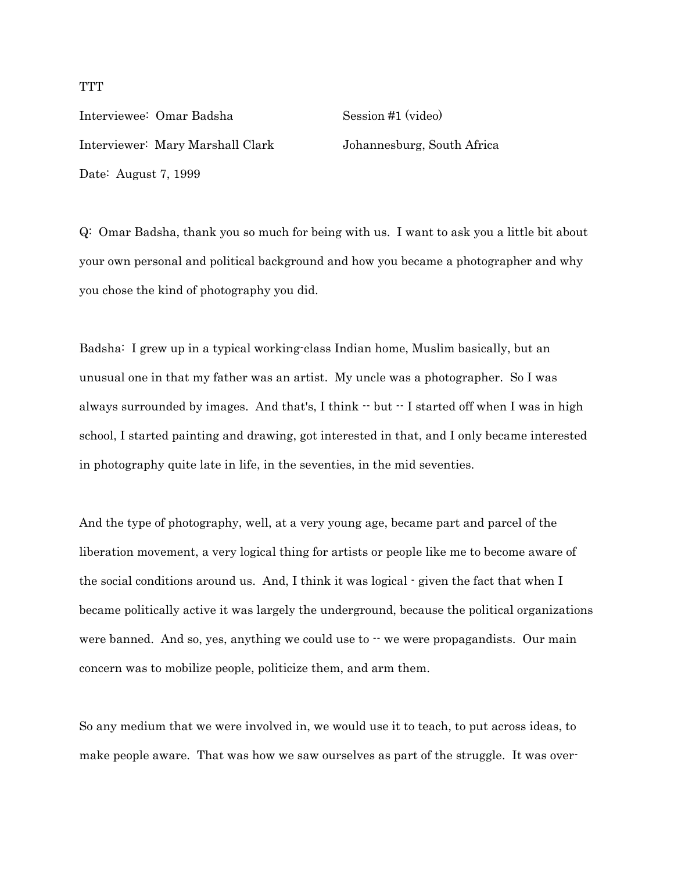Interviewee: Omar Badsha Session #1 (video) Interviewer: Mary Marshall Clark Johannesburg, South Africa

Date: August 7, 1999

Q: Omar Badsha, thank you so much for being with us. I want to ask you a little bit about your own personal and political background and how you became a photographer and why you chose the kind of photography you did.

Badsha: I grew up in a typical working-class Indian home, Muslim basically, but an unusual one in that my father was an artist. My uncle was a photographer. So I was always surrounded by images. And that's, I think  $\cdot$  but  $\cdot$  I started off when I was in high school, I started painting and drawing, got interested in that, and I only became interested in photography quite late in life, in the seventies, in the mid seventies.

And the type of photography, well, at a very young age, became part and parcel of the liberation movement, a very logical thing for artists or people like me to become aware of the social conditions around us. And, I think it was logical - given the fact that when I became politically active it was largely the underground, because the political organizations were banned. And so, yes, anything we could use to  $\cdot\cdot$  we were propagandists. Our main concern was to mobilize people, politicize them, and arm them.

So any medium that we were involved in, we would use it to teach, to put across ideas, to make people aware. That was how we saw ourselves as part of the struggle. It was over-

## **TTT**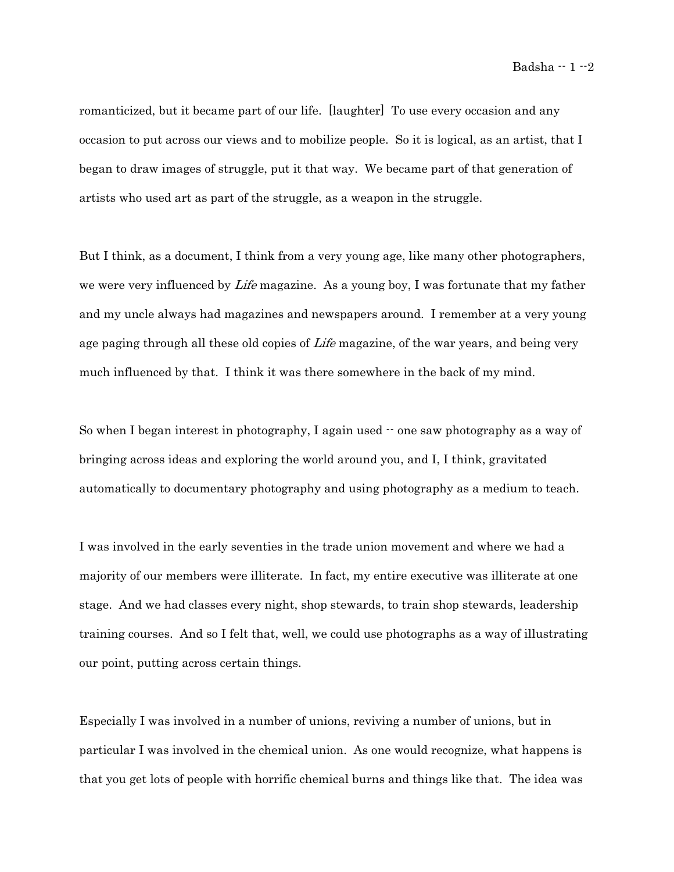Badsha  $-1$   $-2$ 

romanticized, but it became part of our life. [laughter] To use every occasion and any occasion to put across our views and to mobilize people. So it is logical, as an artist, that I began to draw images of struggle, put it that way. We became part of that generation of artists who used art as part of the struggle, as a weapon in the struggle.

But I think, as a document, I think from a very young age, like many other photographers, we were very influenced by *Life* magazine. As a young boy, I was fortunate that my father and my uncle always had magazines and newspapers around. I remember at a very young age paging through all these old copies of *Life* magazine, of the war years, and being very much influenced by that. I think it was there somewhere in the back of my mind.

So when I began interest in photography, I again used  $\cdot$  one saw photography as a way of bringing across ideas and exploring the world around you, and I, I think, gravitated automatically to documentary photography and using photography as a medium to teach.

I was involved in the early seventies in the trade union movement and where we had a majority of our members were illiterate. In fact, my entire executive was illiterate at one stage. And we had classes every night, shop stewards, to train shop stewards, leadership training courses. And so I felt that, well, we could use photographs as a way of illustrating our point, putting across certain things.

Especially I was involved in a number of unions, reviving a number of unions, but in particular I was involved in the chemical union. As one would recognize, what happens is that you get lots of people with horrific chemical burns and things like that. The idea was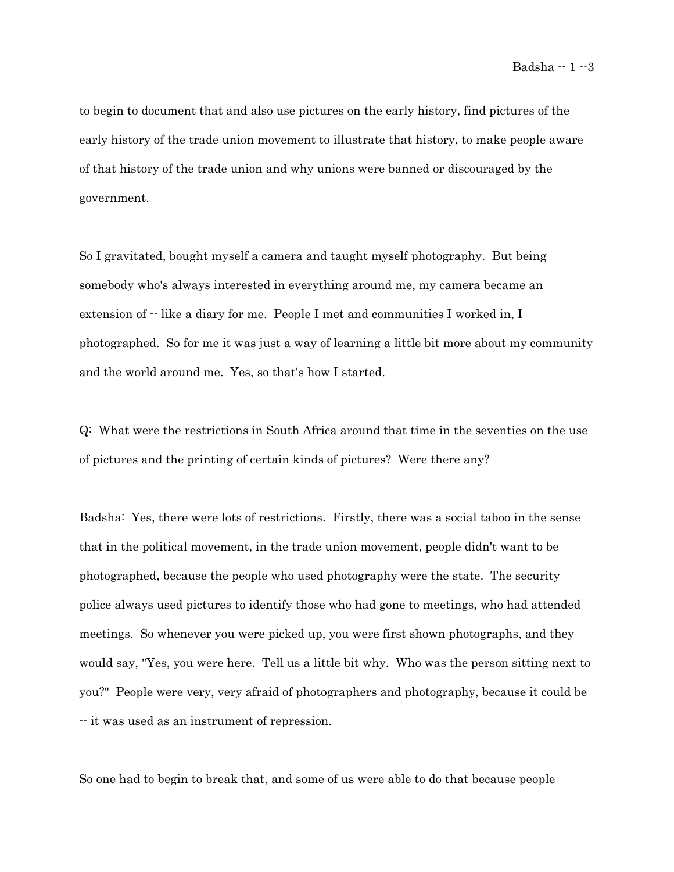to begin to document that and also use pictures on the early history, find pictures of the early history of the trade union movement to illustrate that history, to make people aware of that history of the trade union and why unions were banned or discouraged by the government.

So I gravitated, bought myself a camera and taught myself photography. But being somebody who's always interested in everything around me, my camera became an extension of  $\cdot$  like a diary for me. People I met and communities I worked in, I photographed. So for me it was just a way of learning a little bit more about my community and the world around me. Yes, so that's how I started.

Q: What were the restrictions in South Africa around that time in the seventies on the use of pictures and the printing of certain kinds of pictures? Were there any?

Badsha: Yes, there were lots of restrictions. Firstly, there was a social taboo in the sense that in the political movement, in the trade union movement, people didn't want to be photographed, because the people who used photography were the state. The security police always used pictures to identify those who had gone to meetings, who had attended meetings. So whenever you were picked up, you were first shown photographs, and they would say, "Yes, you were here. Tell us a little bit why. Who was the person sitting next to you?" People were very, very afraid of photographers and photography, because it could be -- it was used as an instrument of repression.

So one had to begin to break that, and some of us were able to do that because people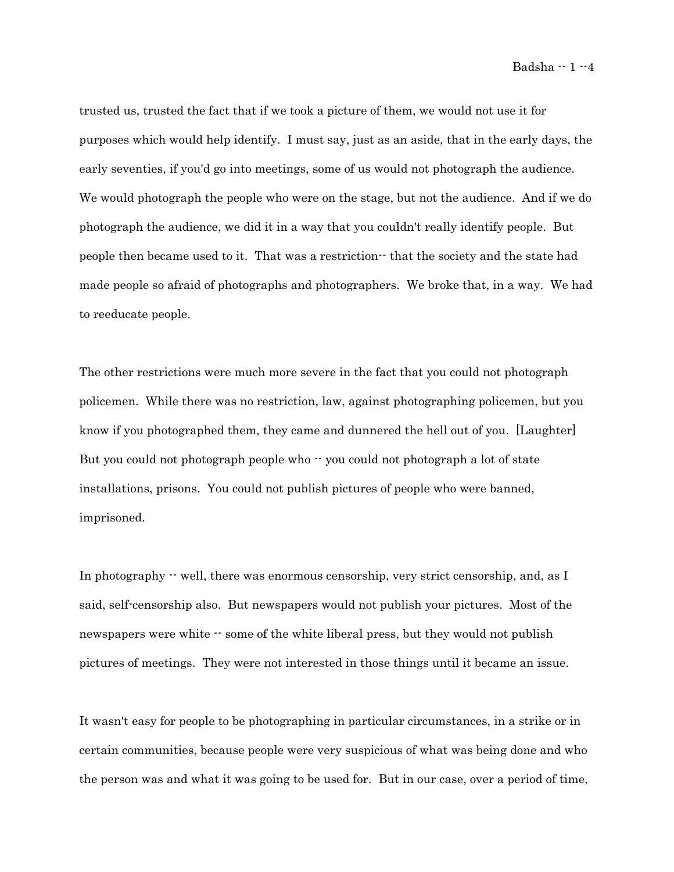Badsha  $-1 -4$ 

trusted us, trusted the fact that if we took a picture of them, we would not use it for purposes which would help identify. I must say, just as an aside, that in the early days, the early seventies, if you'd go into meetings, some of us would not photograph the audience. We would photograph the people who were on the stage, but not the audience. And if we do photograph the audience, we did it in a way that you couldn't really identify people. But people then became used to it. That was a restriction - that the society and the state had made people so afraid of photographs and photographers. We broke that, in a way. We had to reeducate people.

The other restrictions were much more severe in the fact that you could not photograph policemen. While there was no restriction, law, against photographing policemen, but you know if you photographed them, they came and dunnered the hell out of you. [Laughter] But you could not photograph people who  $\cdot\cdot$  you could not photograph a lot of state installations, prisons. You could not publish pictures of people who were banned, imprisoned.

In photography  $\cdot$  well, there was enormous censorship, very strict censorship, and, as I said, self-censorship also. But newspapers would not publish your pictures. Most of the newspapers were white  $\cdot \cdot$  some of the white liberal press, but they would not publish pictures of meetings. They were not interested in those things until it became an issue.

It wasn't easy for people to be photographing in particular circumstances, in a strike or in certain communities, because people were very suspicious of what was being done and who the person was and what it was going to be used for. But in our case, over a period of time,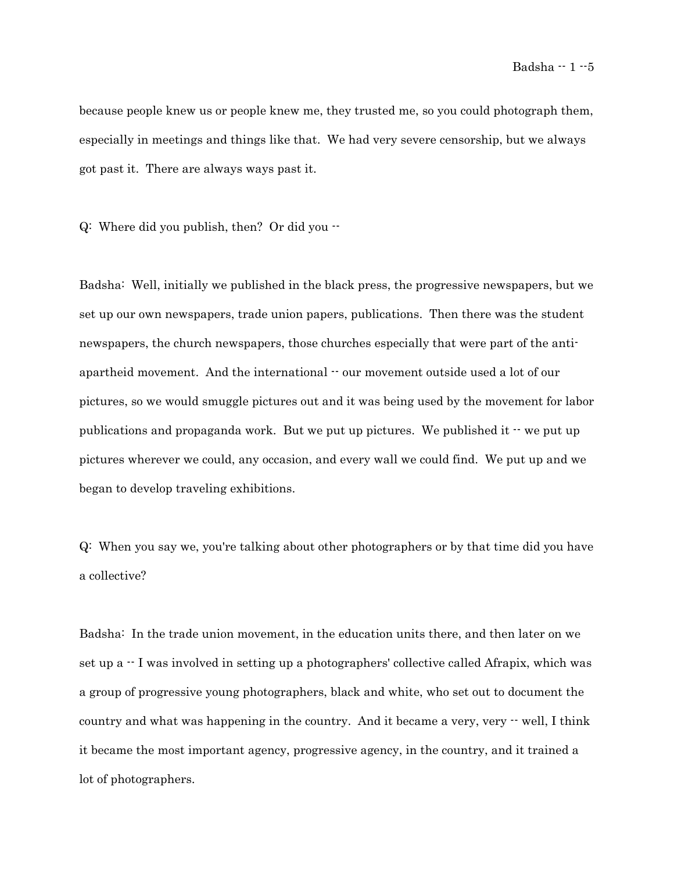Badsha  $-1 -5$ 

because people knew us or people knew me, they trusted me, so you could photograph them, especially in meetings and things like that. We had very severe censorship, but we always got past it. There are always ways past it.

Q: Where did you publish, then? Or did you --

Badsha: Well, initially we published in the black press, the progressive newspapers, but we set up our own newspapers, trade union papers, publications. Then there was the student newspapers, the church newspapers, those churches especially that were part of the antiapartheid movement. And the international  $\cdot$  our movement outside used a lot of our pictures, so we would smuggle pictures out and it was being used by the movement for labor publications and propaganda work. But we put up pictures. We published it  $\cdot$  we put up pictures wherever we could, any occasion, and every wall we could find. We put up and we began to develop traveling exhibitions.

Q: When you say we, you're talking about other photographers or by that time did you have a collective?

Badsha: In the trade union movement, in the education units there, and then later on we set up a  $\cdot$  I was involved in setting up a photographers' collective called Afrapix, which was a group of progressive young photographers, black and white, who set out to document the country and what was happening in the country. And it became a very, very  $\cdot$  well, I think it became the most important agency, progressive agency, in the country, and it trained a lot of photographers.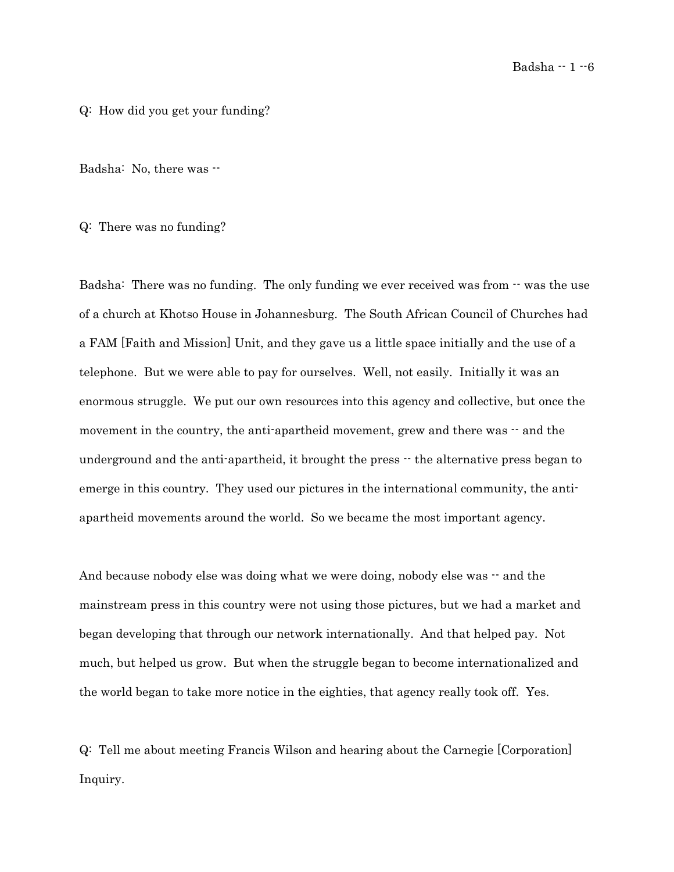#### Q: How did you get your funding?

Badsha: No, there was  $-$ 

Q: There was no funding?

Badsha: There was no funding. The only funding we ever received was from  $\cdot$  was the use of a church at Khotso House in Johannesburg. The South African Council of Churches had a FAM [Faith and Mission] Unit, and they gave us a little space initially and the use of a telephone. But we were able to pay for ourselves. Well, not easily. Initially it was an enormous struggle. We put our own resources into this agency and collective, but once the movement in the country, the anti-apartheid movement, grew and there was  $-$  and the underground and the anti-apartheid, it brought the press  $-$  the alternative press began to emerge in this country. They used our pictures in the international community, the antiapartheid movements around the world. So we became the most important agency.

And because nobody else was doing what we were doing, nobody else was  $-$  and the mainstream press in this country were not using those pictures, but we had a market and began developing that through our network internationally. And that helped pay. Not much, but helped us grow. But when the struggle began to become internationalized and the world began to take more notice in the eighties, that agency really took off. Yes.

Q: Tell me about meeting Francis Wilson and hearing about the Carnegie [Corporation] Inquiry.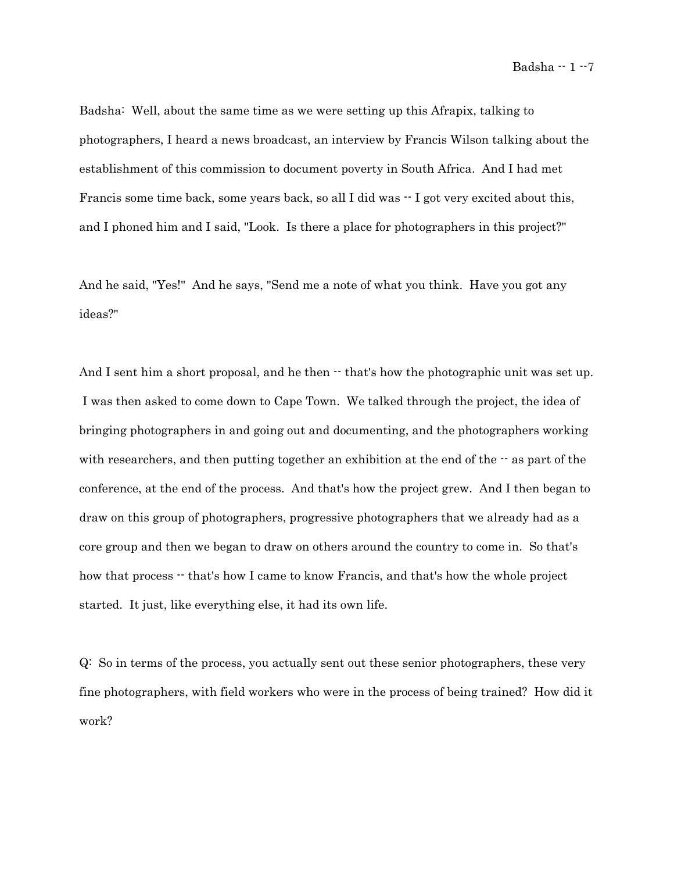Badsha: Well, about the same time as we were setting up this Afrapix, talking to photographers, I heard a news broadcast, an interview by Francis Wilson talking about the establishment of this commission to document poverty in South Africa. And I had met Francis some time back, some years back, so all I did was  $-$  I got very excited about this, and I phoned him and I said, "Look. Is there a place for photographers in this project?"

And he said, "Yes!" And he says, "Send me a note of what you think. Have you got any ideas?"

And I sent him a short proposal, and he then  $\cdot$  that's how the photographic unit was set up. I was then asked to come down to Cape Town. We talked through the project, the idea of bringing photographers in and going out and documenting, and the photographers working with researchers, and then putting together an exhibition at the end of the  $-$  as part of the conference, at the end of the process. And that's how the project grew. And I then began to draw on this group of photographers, progressive photographers that we already had as a core group and then we began to draw on others around the country to come in. So that's how that process  $\cdot$  that's how I came to know Francis, and that's how the whole project started. It just, like everything else, it had its own life.

Q: So in terms of the process, you actually sent out these senior photographers, these very fine photographers, with field workers who were in the process of being trained? How did it work?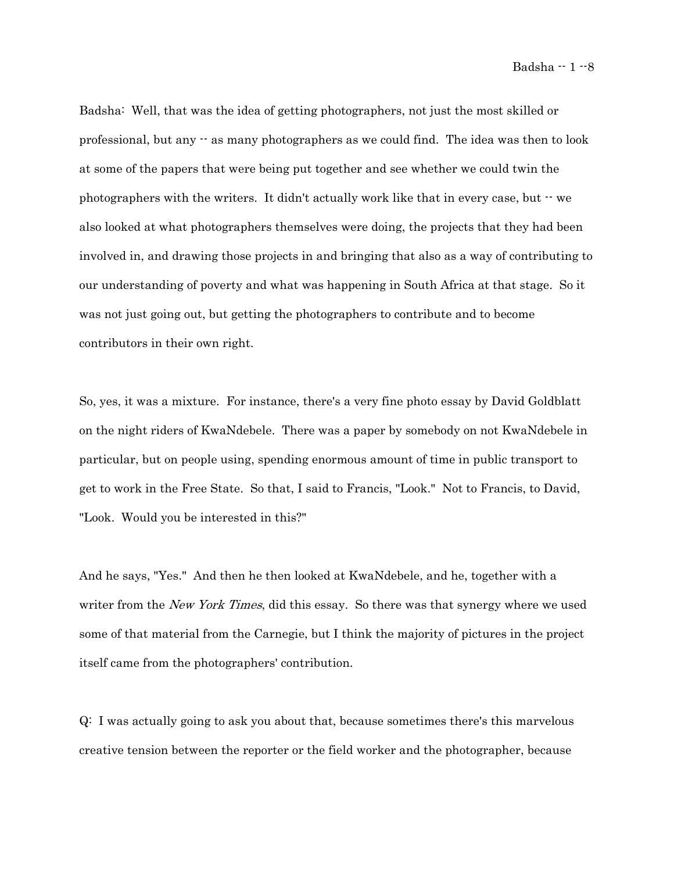Badsha  $-1 - 8$ 

Badsha: Well, that was the idea of getting photographers, not just the most skilled or professional, but any -- as many photographers as we could find. The idea was then to look at some of the papers that were being put together and see whether we could twin the photographers with the writers. It didn't actually work like that in every case, but -- we also looked at what photographers themselves were doing, the projects that they had been involved in, and drawing those projects in and bringing that also as a way of contributing to our understanding of poverty and what was happening in South Africa at that stage. So it was not just going out, but getting the photographers to contribute and to become contributors in their own right.

So, yes, it was a mixture. For instance, there's a very fine photo essay by David Goldblatt on the night riders of KwaNdebele. There was a paper by somebody on not KwaNdebele in particular, but on people using, spending enormous amount of time in public transport to get to work in the Free State. So that, I said to Francis, "Look." Not to Francis, to David, "Look. Would you be interested in this?"

And he says, "Yes." And then he then looked at KwaNdebele, and he, together with a writer from the *New York Times*, did this essay. So there was that synergy where we used some of that material from the Carnegie, but I think the majority of pictures in the project itself came from the photographers' contribution.

Q: I was actually going to ask you about that, because sometimes there's this marvelous creative tension between the reporter or the field worker and the photographer, because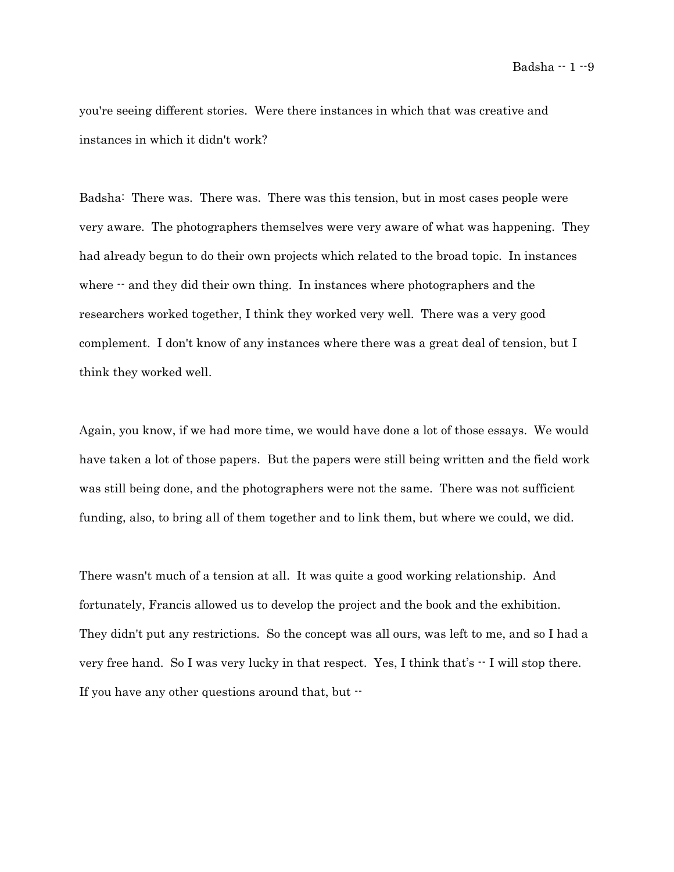Badsha -- 1 -- 9

you're seeing different stories. Were there instances in which that was creative and instances in which it didn't work?

Badsha: There was. There was. There was this tension, but in most cases people were very aware. The photographers themselves were very aware of what was happening. They had already begun to do their own projects which related to the broad topic. In instances where  $\cdot$  and they did their own thing. In instances where photographers and the researchers worked together, I think they worked very well. There was a very good complement. I don't know of any instances where there was a great deal of tension, but I think they worked well.

Again, you know, if we had more time, we would have done a lot of those essays. We would have taken a lot of those papers. But the papers were still being written and the field work was still being done, and the photographers were not the same. There was not sufficient funding, also, to bring all of them together and to link them, but where we could, we did.

There wasn't much of a tension at all. It was quite a good working relationship. And fortunately, Francis allowed us to develop the project and the book and the exhibition. They didn't put any restrictions. So the concept was all ours, was left to me, and so I had a very free hand. So I was very lucky in that respect. Yes, I think that's -- I will stop there. If you have any other questions around that, but --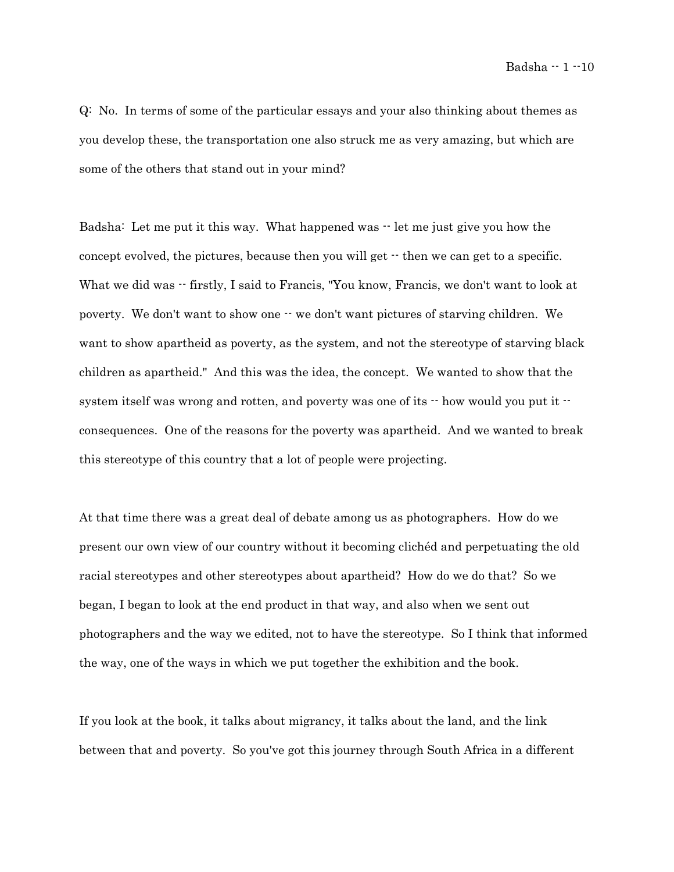Badsha  $-1 - 10$ 

Q: No. In terms of some of the particular essays and your also thinking about themes as you develop these, the transportation one also struck me as very amazing, but which are some of the others that stand out in your mind?

Badsha: Let me put it this way. What happened was  $\cdot$  let me just give you how the concept evolved, the pictures, because then you will get  $\cdot$  then we can get to a specific. What we did was  $-$  firstly, I said to Francis, "You know, Francis, we don't want to look at poverty. We don't want to show one  $\cdot \cdot$  we don't want pictures of starving children. We want to show apartheid as poverty, as the system, and not the stereotype of starving black children as apartheid." And this was the idea, the concept. We wanted to show that the system itself was wrong and rotten, and poverty was one of its  $\cdot$  how would you put it  $\cdot$ consequences. One of the reasons for the poverty was apartheid. And we wanted to break this stereotype of this country that a lot of people were projecting.

At that time there was a great deal of debate among us as photographers. How do we present our own view of our country without it becoming clichéd and perpetuating the old racial stereotypes and other stereotypes about apartheid? How do we do that? So we began, I began to look at the end product in that way, and also when we sent out photographers and the way we edited, not to have the stereotype. So I think that informed the way, one of the ways in which we put together the exhibition and the book.

If you look at the book, it talks about migrancy, it talks about the land, and the link between that and poverty. So you've got this journey through South Africa in a different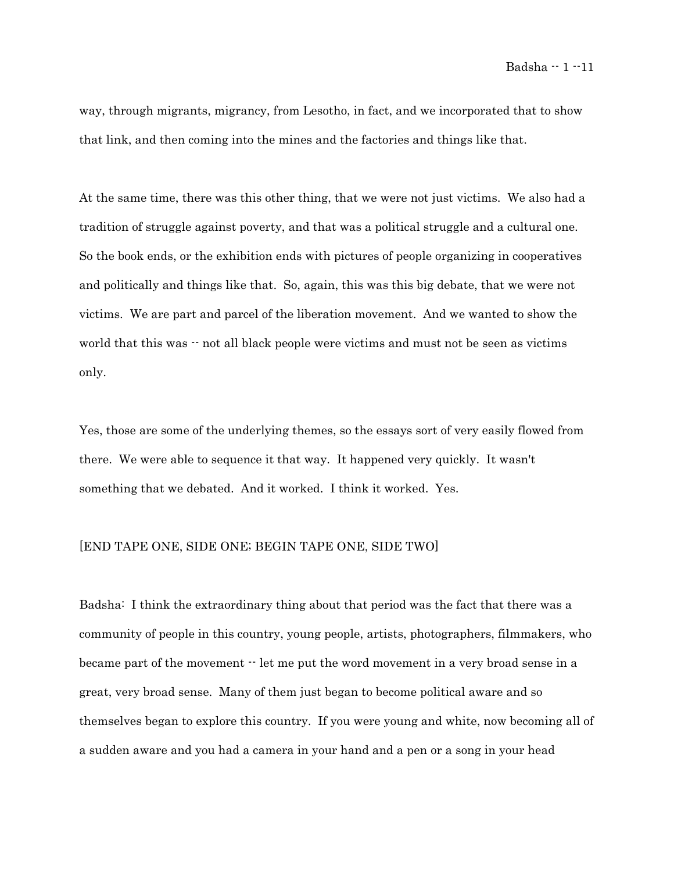way, through migrants, migrancy, from Lesotho, in fact, and we incorporated that to show that link, and then coming into the mines and the factories and things like that.

At the same time, there was this other thing, that we were not just victims. We also had a tradition of struggle against poverty, and that was a political struggle and a cultural one. So the book ends, or the exhibition ends with pictures of people organizing in cooperatives and politically and things like that. So, again, this was this big debate, that we were not victims. We are part and parcel of the liberation movement. And we wanted to show the world that this was  $\cdot$  not all black people were victims and must not be seen as victims only.

Yes, those are some of the underlying themes, so the essays sort of very easily flowed from there. We were able to sequence it that way. It happened very quickly. It wasn't something that we debated. And it worked. I think it worked. Yes.

### [END TAPE ONE, SIDE ONE; BEGIN TAPE ONE, SIDE TWO]

Badsha: I think the extraordinary thing about that period was the fact that there was a community of people in this country, young people, artists, photographers, filmmakers, who became part of the movement -- let me put the word movement in a very broad sense in a great, very broad sense. Many of them just began to become political aware and so themselves began to explore this country. If you were young and white, now becoming all of a sudden aware and you had a camera in your hand and a pen or a song in your head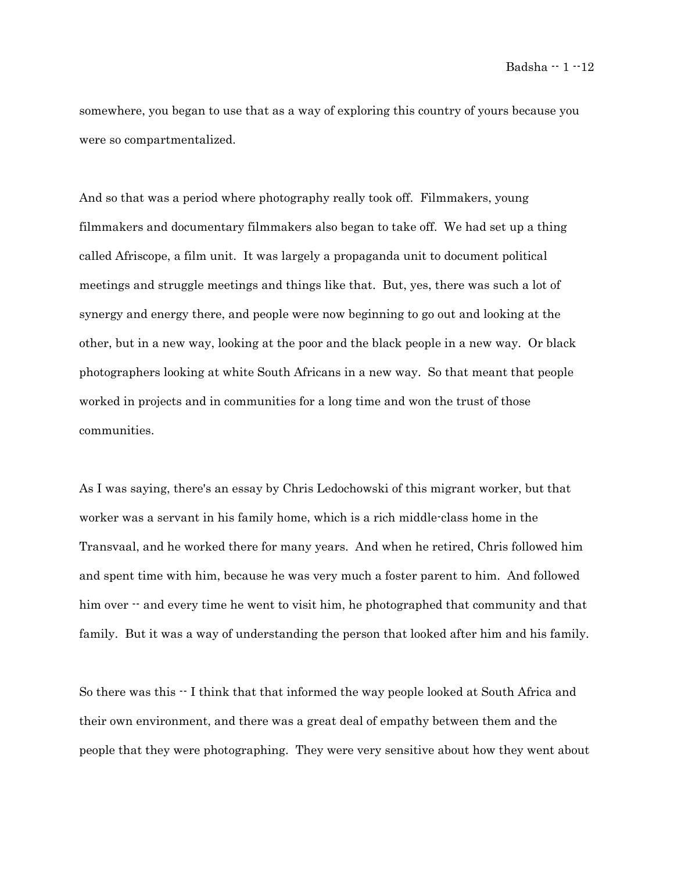Badsha -- 1 -- 12

somewhere, you began to use that as a way of exploring this country of yours because you were so compartmentalized.

And so that was a period where photography really took off. Filmmakers, young filmmakers and documentary filmmakers also began to take off. We had set up a thing called Afriscope, a film unit. It was largely a propaganda unit to document political meetings and struggle meetings and things like that. But, yes, there was such a lot of synergy and energy there, and people were now beginning to go out and looking at the other, but in a new way, looking at the poor and the black people in a new way. Or black photographers looking at white South Africans in a new way. So that meant that people worked in projects and in communities for a long time and won the trust of those communities.

As I was saying, there's an essay by [Chris Ledochowski](http://www.sahistory.org.za/pages/people/ledochowski-c.htm) of this migrant worker, but that worker was a servant in his family home, which is a rich middle-class home in the Transvaal, and he worked there for many years. And when he retired, Chris followed him and spent time with him, because he was very much a foster parent to him. And followed him over  $\cdot$  and every time he went to visit him, he photographed that community and that family. But it was a way of understanding the person that looked after him and his family.

So there was this  $\cdot$  I think that that informed the way people looked at South Africa and their own environment, and there was a great deal of empathy between them and the people that they were photographing. They were very sensitive about how they went about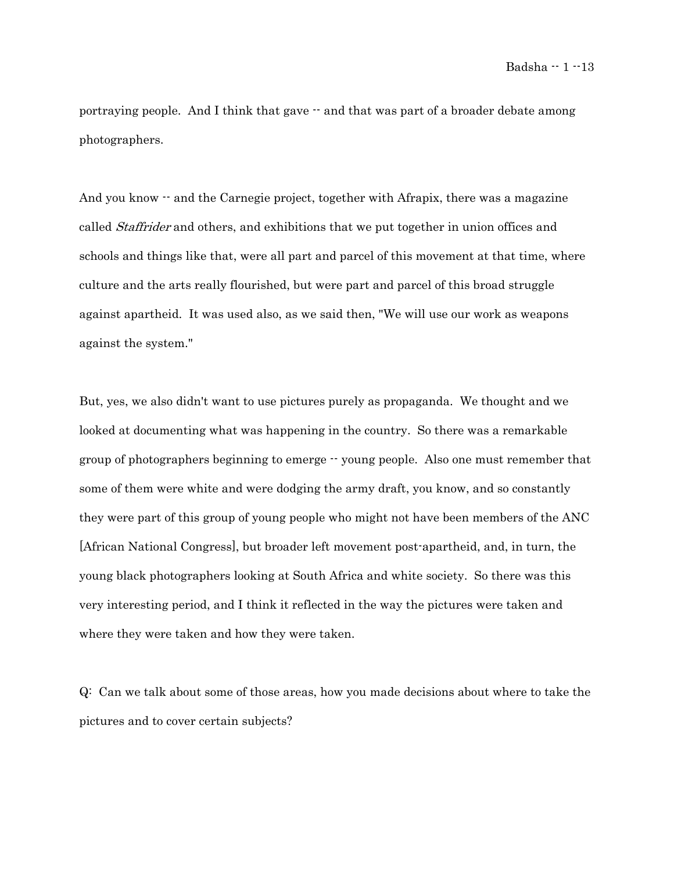Badsha -- 1 -- 13

portraying people. And I think that gave  $\cdot$  and that was part of a broader debate among photographers.

And you know  $\cdot$  and the Carnegie project, together with Afrapix, there was a magazine called *Staffrider* and others, and exhibitions that we put together in union offices and schools and things like that, were all part and parcel of this movement at that time, where culture and the arts really flourished, but were part and parcel of this broad struggle against apartheid. It was used also, as we said then, "We will use our work as weapons against the system."

But, yes, we also didn't want to use pictures purely as propaganda. We thought and we looked at documenting what was happening in the country. So there was a remarkable group of photographers beginning to emerge -- young people. Also one must remember that some of them were white and were dodging the army draft, you know, and so constantly they were part of this group of young people who might not have been members of the ANC [African National Congress], but broader left movement post-apartheid, and, in turn, the young black photographers looking at South Africa and white society. So there was this very interesting period, and I think it reflected in the way the pictures were taken and where they were taken and how they were taken.

Q: Can we talk about some of those areas, how you made decisions about where to take the pictures and to cover certain subjects?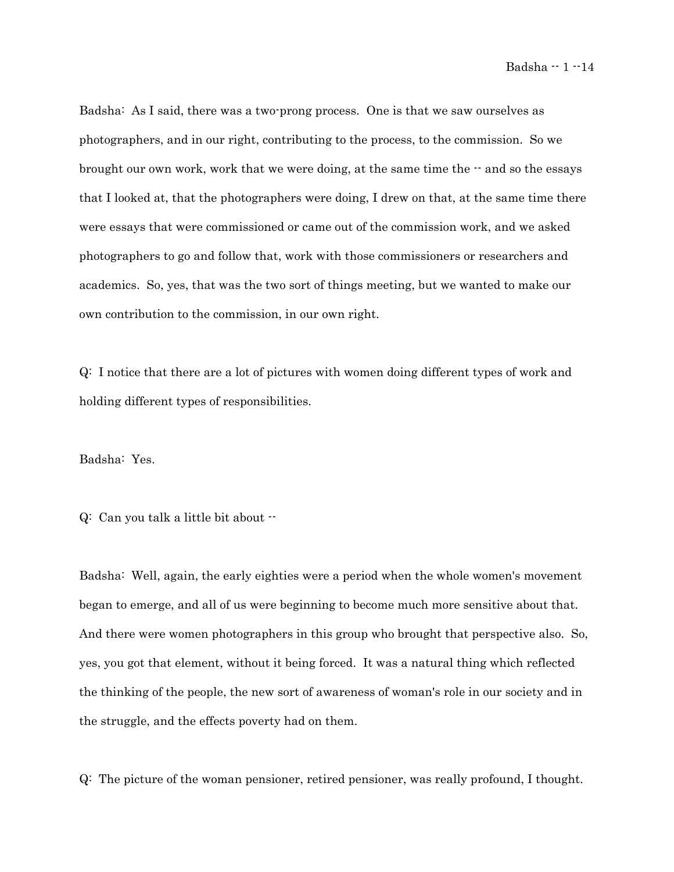Badsha: As I said, there was a two-prong process. One is that we saw ourselves as photographers, and in our right, contributing to the process, to the commission. So we brought our own work, work that we were doing, at the same time the  $-$  and so the essays that I looked at, that the photographers were doing, I drew on that, at the same time there were essays that were commissioned or came out of the commission work, and we asked photographers to go and follow that, work with those commissioners or researchers and academics. So, yes, that was the two sort of things meeting, but we wanted to make our own contribution to the commission, in our own right.

Q: I notice that there are a lot of pictures with women doing different types of work and holding different types of responsibilities.

Badsha: Yes.

Q: Can you talk a little bit about --

Badsha: Well, again, the early eighties were a period when the whole women's movement began to emerge, and all of us were beginning to become much more sensitive about that. And there were women photographers in this group who brought that perspective also. So, yes, you got that element, without it being forced. It was a natural thing which reflected the thinking of the people, the new sort of awareness of woman's role in our society and in the struggle, and the effects poverty had on them.

Q: The picture of the woman pensioner, retired pensioner, was really profound, I thought.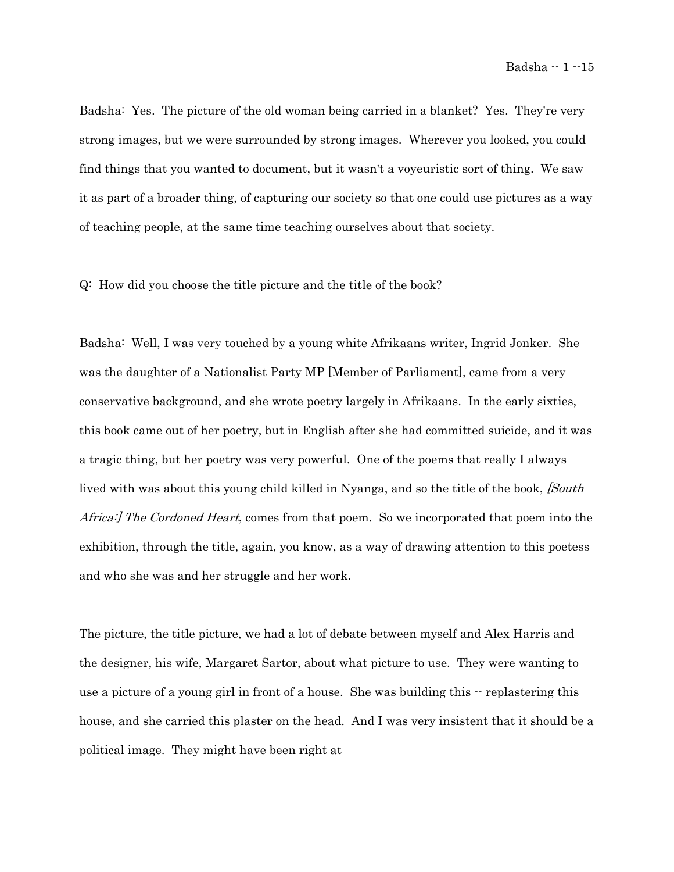Badsha: Yes. The picture of the old woman being carried in a blanket? Yes. They're very strong images, but we were surrounded by strong images. Wherever you looked, you could find things that you wanted to document, but it wasn't a voyeuristic sort of thing. We saw it as part of a broader thing, of capturing our society so that one could use pictures as a way of teaching people, at the same time teaching ourselves about that society.

Q: How did you choose the title picture and the title of the book?

Badsha: Well, I was very touched by a young white Afrikaans writer, Ingrid Jonker. She was the daughter of a Nationalist Party MP [Member of Parliament], came from a very conservative background, and she wrote poetry largely in Afrikaans. In the early sixties, this book came out of her poetry, but in English after she had committed suicide, and it was a tragic thing, but her poetry was very powerful. One of the poems that really I always lived with was about this young child killed in Nyanga, and so the title of the book, *[South*] Africa: The Cordoned Heart, comes from that poem. So we incorporated that poem into the exhibition, through the title, again, you know, as a way of drawing attention to this poetess and who she was and her struggle and her work.

The picture, the title picture, we had a lot of debate between myself and Alex Harris and the designer, his wife, Margaret Sartor, about what picture to use. They were wanting to use a picture of a young girl in front of a house. She was building this -- replastering this house, and she carried this plaster on the head. And I was very insistent that it should be a political image. They might have been right at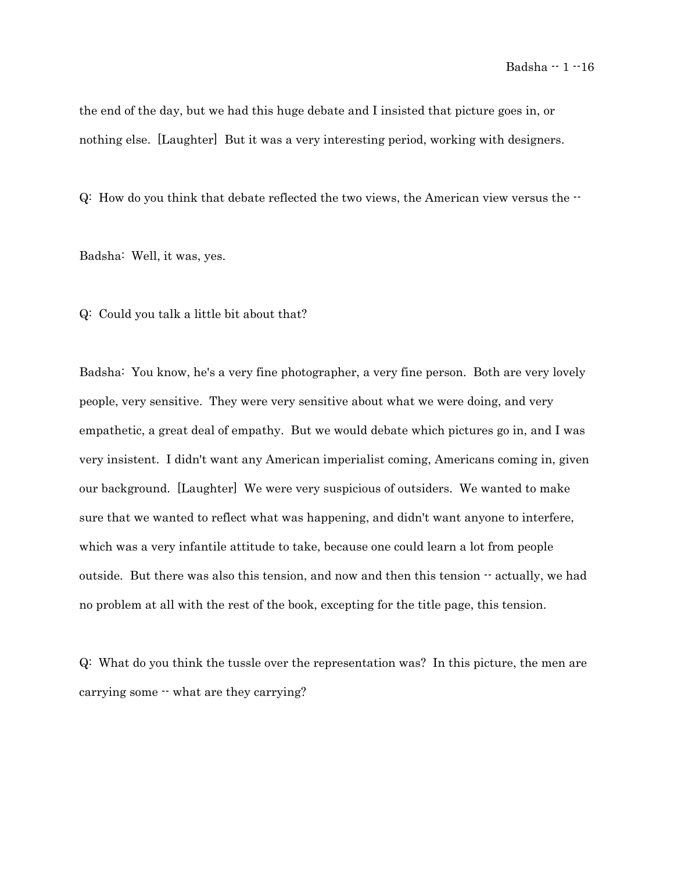the end of the day, but we had this huge debate and I insisted that picture goes in, or nothing else. [Laughter] But it was a very interesting period, working with designers.

Q: How do you think that debate reflected the two views, the American view versus the --

Badsha: Well, it was, yes.

Q: Could you talk a little bit about that?

Badsha: You know, he's a very fine photographer, a very fine person. Both are very lovely people, very sensitive. They were very sensitive about what we were doing, and very empathetic, a great deal of empathy. But we would debate which pictures go in, and I was very insistent. I didn't want any American imperialist coming, Americans coming in, given our background. [Laughter] We were very suspicious of outsiders. We wanted to make sure that we wanted to reflect what was happening, and didn't want anyone to interfere, which was a very infantile attitude to take, because one could learn a lot from people outside. But there was also this tension, and now and then this tension -- actually, we had no problem at all with the rest of the book, excepting for the title page, this tension.

Q: What do you think the tussle over the representation was? In this picture, the men are carrying some  $\cdot\cdot$  what are they carrying?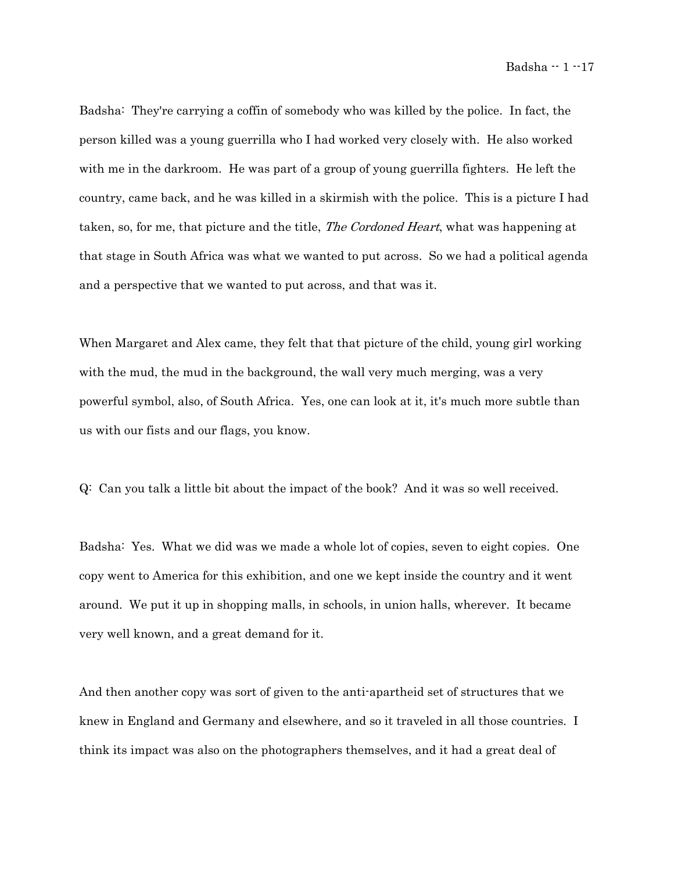Badsha: They're carrying a coffin of somebody who was killed by the police. In fact, the person killed was a young guerrilla who I had worked very closely with. He also worked with me in the darkroom. He was part of a group of young guerrilla fighters. He left the country, came back, and he was killed in a skirmish with the police. This is a picture I had taken, so, for me, that picture and the title, *The Cordoned Heart*, what was happening at that stage in South Africa was what we wanted to put across. So we had a political agenda and a perspective that we wanted to put across, and that was it.

When Margaret and Alex came, they felt that that picture of the child, young girl working with the mud, the mud in the background, the wall very much merging, was a very powerful symbol, also, of South Africa. Yes, one can look at it, it's much more subtle than us with our fists and our flags, you know.

Q: Can you talk a little bit about the impact of the book? And it was so well received.

Badsha: Yes. What we did was we made a whole lot of copies, seven to eight copies. One copy went to America for this exhibition, and one we kept inside the country and it went around. We put it up in shopping malls, in schools, in union halls, wherever. It became very well known, and a great demand for it.

And then another copy was sort of given to the anti-apartheid set of structures that we knew in England and Germany and elsewhere, and so it traveled in all those countries. I think its impact was also on the photographers themselves, and it had a great deal of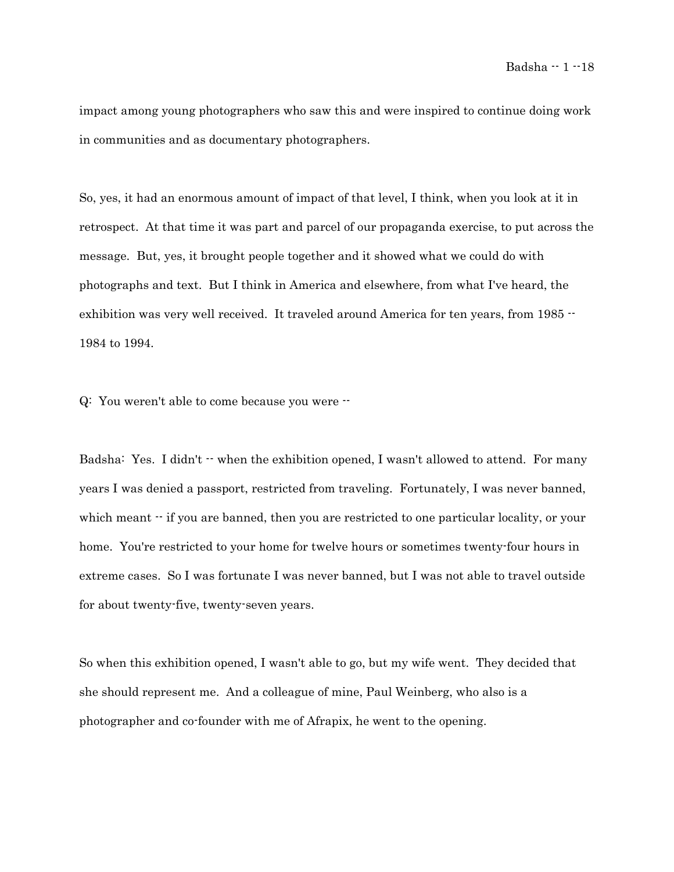impact among young photographers who saw this and were inspired to continue doing work in communities and as documentary photographers.

So, yes, it had an enormous amount of impact of that level, I think, when you look at it in retrospect. At that time it was part and parcel of our propaganda exercise, to put across the message. But, yes, it brought people together and it showed what we could do with photographs and text. But I think in America and elsewhere, from what I've heard, the exhibition was very well received. It traveled around America for ten years, from 1985 --1984 to 1994.

Q: You weren't able to come because you were --

Badsha: Yes. I didn't  $\cdot$  when the exhibition opened, I wasn't allowed to attend. For many years I was denied a passport, restricted from traveling. Fortunately, I was never banned, which meant  $\cdot$  if you are banned, then you are restricted to one particular locality, or your home. You're restricted to your home for twelve hours or sometimes twenty-four hours in extreme cases. So I was fortunate I was never banned, but I was not able to travel outside for about twenty-five, twenty-seven years.

So when this exhibition opened, I wasn't able to go, but my wife went. They decided that she should represent me. And a colleague of mine, Paul Weinberg, who also is a photographer and co-founder with me of Afrapix, he went to the opening.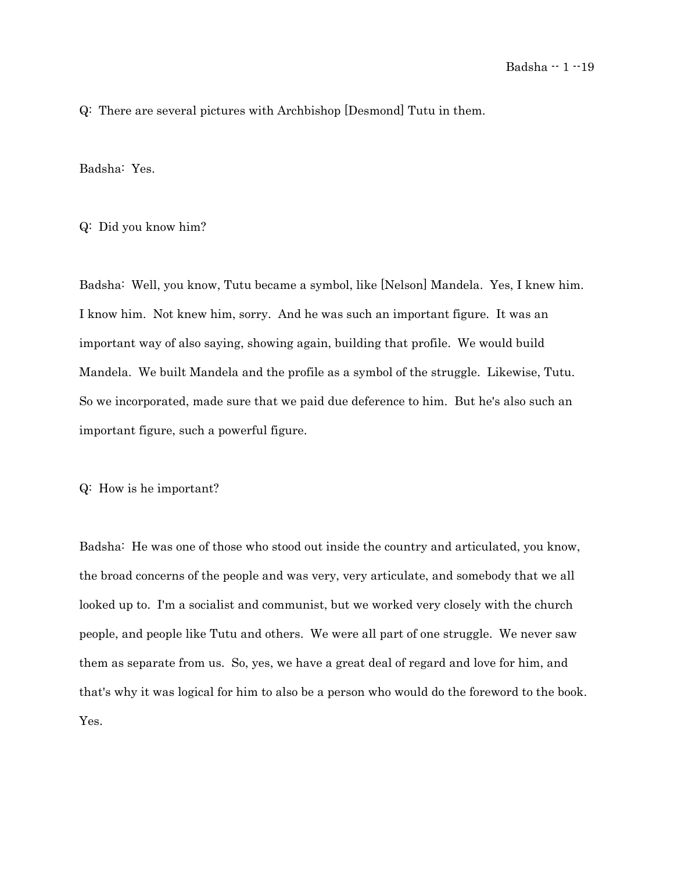Q: There are several pictures with Archbishop [Desmond] Tutu in them.

Badsha: Yes.

Q: Did you know him?

Badsha: Well, you know, Tutu became a symbol, like [Nelson] Mandela. Yes, I knew him. I know him. Not knew him, sorry. And he was such an important figure. It was an important way of also saying, showing again, building that profile. We would build Mandela. We built Mandela and the profile as a symbol of the struggle. Likewise, Tutu. So we incorporated, made sure that we paid due deference to him. But he's also such an important figure, such a powerful figure.

Q: How is he important?

Badsha: He was one of those who stood out inside the country and articulated, you know, the broad concerns of the people and was very, very articulate, and somebody that we all looked up to. I'm a socialist and communist, but we worked very closely with the church people, and people like Tutu and others. We were all part of one struggle. We never saw them as separate from us. So, yes, we have a great deal of regard and love for him, and that's why it was logical for him to also be a person who would do the foreword to the book. Yes.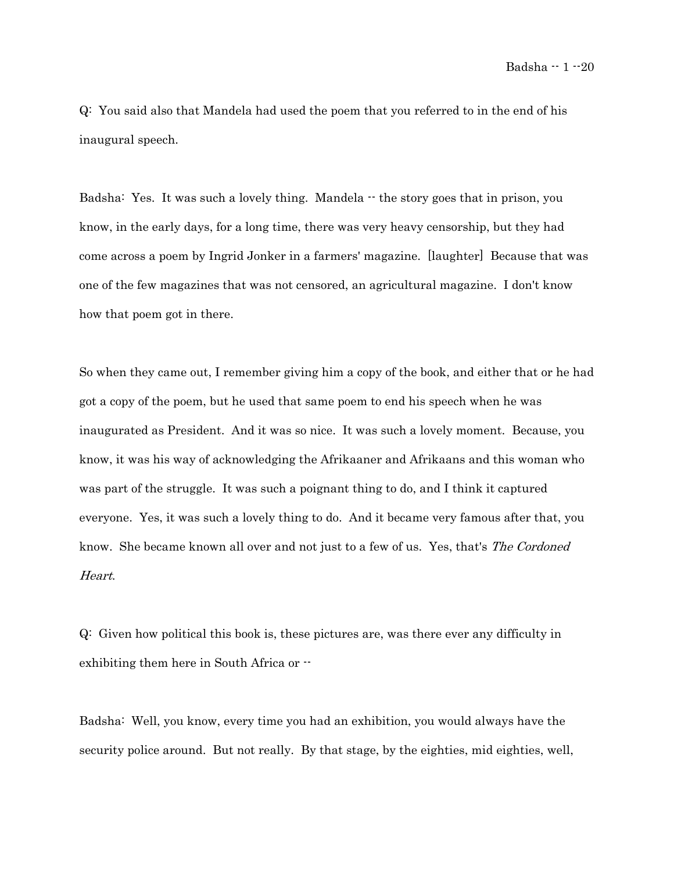Q: You said also that Mandela had used the poem that you referred to in the end of his inaugural speech.

Badsha: Yes. It was such a lovely thing. Mandela  $\cdot \cdot$  the story goes that in prison, you know, in the early days, for a long time, there was very heavy censorship, but they had come across a poem by Ingrid Jonker in a farmers' magazine. [laughter] Because that was one of the few magazines that was not censored, an agricultural magazine. I don't know how that poem got in there.

So when they came out, I remember giving him a copy of the book, and either that or he had got a copy of the poem, but he used that same poem to end his speech when he was inaugurated as President. And it was so nice. It was such a lovely moment. Because, you know, it was his way of acknowledging the Afrikaaner and Afrikaans and this woman who was part of the struggle. It was such a poignant thing to do, and I think it captured everyone. Yes, it was such a lovely thing to do. And it became very famous after that, you know. She became known all over and not just to a few of us. Yes, that's The Cordoned Heart.

Q: Given how political this book is, these pictures are, was there ever any difficulty in exhibiting them here in South Africa or --

Badsha: Well, you know, every time you had an exhibition, you would always have the security police around. But not really. By that stage, by the eighties, mid eighties, well,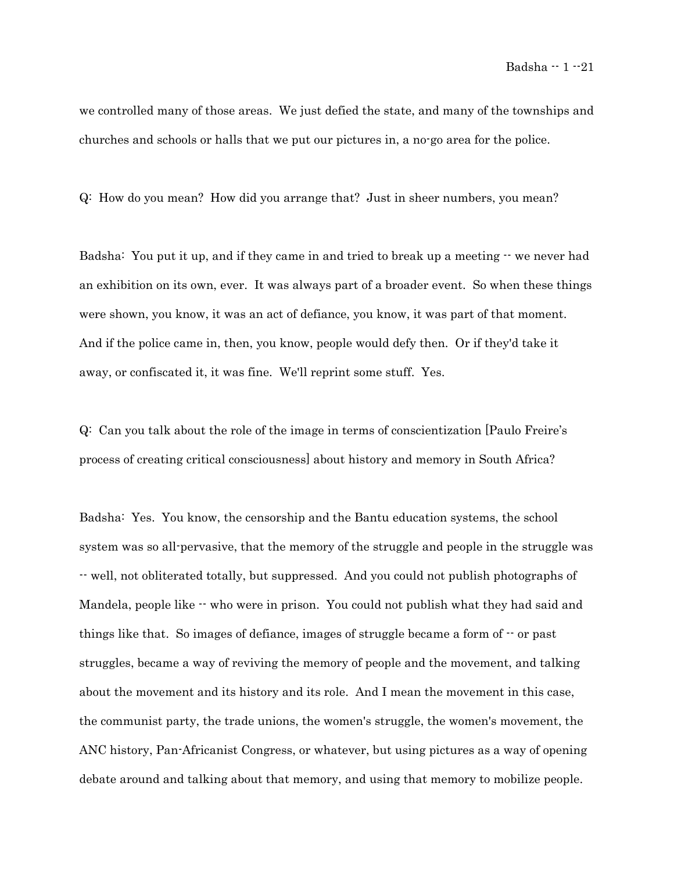we controlled many of those areas. We just defied the state, and many of the townships and churches and schools or halls that we put our pictures in, a no-go area for the police.

Q: How do you mean? How did you arrange that? Just in sheer numbers, you mean?

Badsha: You put it up, and if they came in and tried to break up a meeting  $\cdot\cdot$  we never had an exhibition on its own, ever. It was always part of a broader event. So when these things were shown, you know, it was an act of defiance, you know, it was part of that moment. And if the police came in, then, you know, people would defy then. Or if they'd take it away, or confiscated it, it was fine. We'll reprint some stuff. Yes.

Q: Can you talk about the role of the image in terms of conscientization [Paulo Freire's process of creating critical consciousness] about history and memory in South Africa?

Badsha: Yes. You know, the censorship and the Bantu education systems, the school system was so all-pervasive, that the memory of the struggle and people in the struggle was -- well, not obliterated totally, but suppressed. And you could not publish photographs of Mandela, people like  $\cdot\cdot$  who were in prison. You could not publish what they had said and things like that. So images of defiance, images of struggle became a form of  $\cdot$  or past struggles, became a way of reviving the memory of people and the movement, and talking about the movement and its history and its role. And I mean the movement in this case, the communist party, the trade unions, the women's struggle, the women's movement, the ANC history, Pan-Africanist Congress, or whatever, but using pictures as a way of opening debate around and talking about that memory, and using that memory to mobilize people.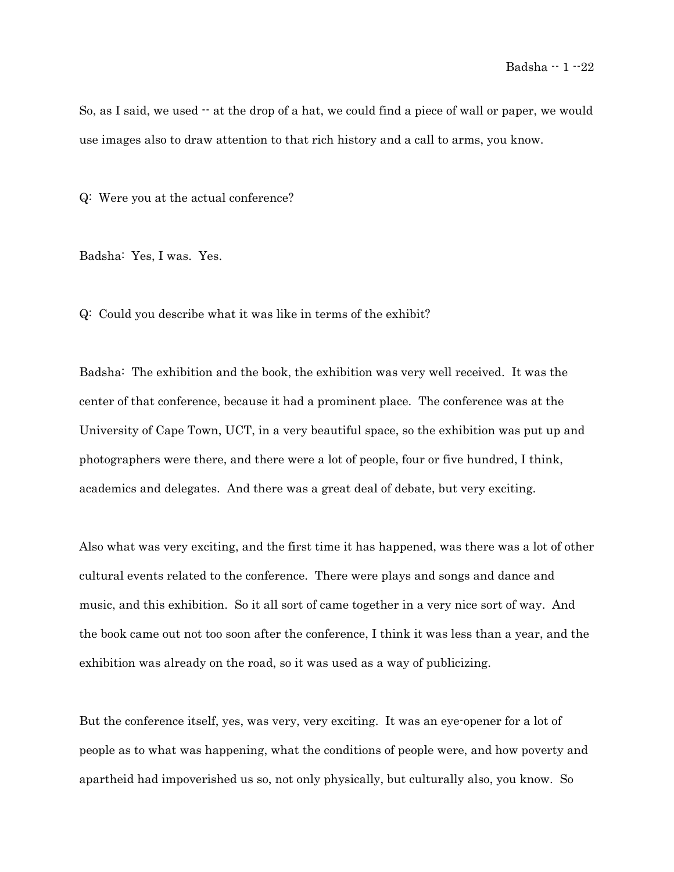So, as I said, we used  $\cdot$  at the drop of a hat, we could find a piece of wall or paper, we would use images also to draw attention to that rich history and a call to arms, you know.

Q: Were you at the actual conference?

Badsha: Yes, I was. Yes.

Q: Could you describe what it was like in terms of the exhibit?

Badsha: The exhibition and the book, the exhibition was very well received. It was the center of that conference, because it had a prominent place. The conference was at the University of Cape Town, UCT, in a very beautiful space, so the exhibition was put up and photographers were there, and there were a lot of people, four or five hundred, I think, academics and delegates. And there was a great deal of debate, but very exciting.

Also what was very exciting, and the first time it has happened, was there was a lot of other cultural events related to the conference. There were plays and songs and dance and music, and this exhibition. So it all sort of came together in a very nice sort of way. And the book came out not too soon after the conference, I think it was less than a year, and the exhibition was already on the road, so it was used as a way of publicizing.

But the conference itself, yes, was very, very exciting. It was an eye-opener for a lot of people as to what was happening, what the conditions of people were, and how poverty and apartheid had impoverished us so, not only physically, but culturally also, you know. So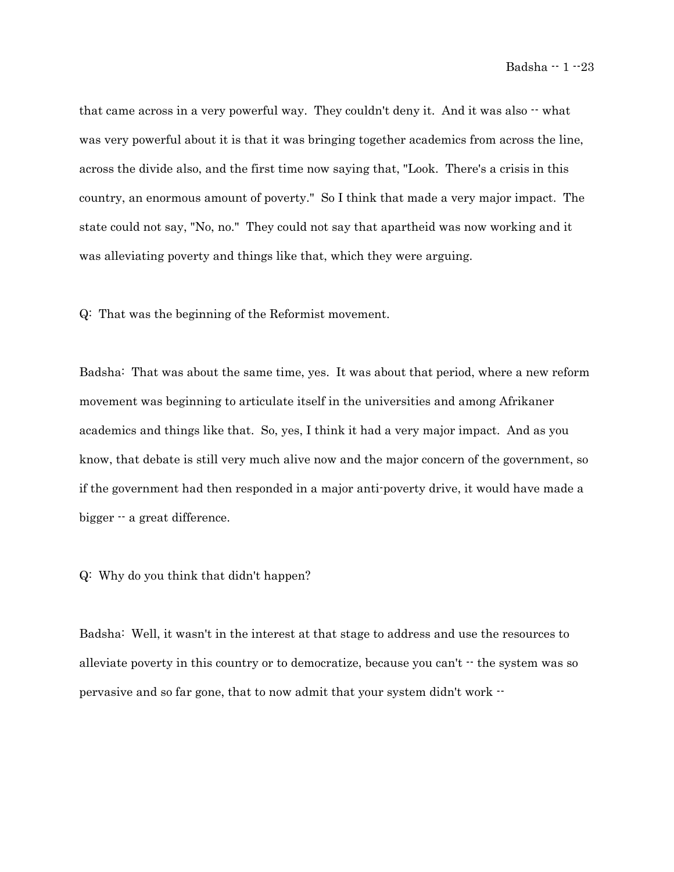that came across in a very powerful way. They couldn't deny it. And it was also  $\cdot$  what was very powerful about it is that it was bringing together academics from across the line, across the divide also, and the first time now saying that, "Look. There's a crisis in this country, an enormous amount of poverty." So I think that made a very major impact. The state could not say, "No, no." They could not say that apartheid was now working and it was alleviating poverty and things like that, which they were arguing.

Q: That was the beginning of the Reformist movement.

Badsha: That was about the same time, yes. It was about that period, where a new reform movement was beginning to articulate itself in the universities and among Afrikaner academics and things like that. So, yes, I think it had a very major impact. And as you know, that debate is still very much alive now and the major concern of the government, so if the government had then responded in a major anti-poverty drive, it would have made a bigger  $-$  a great difference.

# Q: Why do you think that didn't happen?

Badsha: Well, it wasn't in the interest at that stage to address and use the resources to alleviate poverty in this country or to democratize, because you can't  $\cdot$  the system was so pervasive and so far gone, that to now admit that your system didn't work --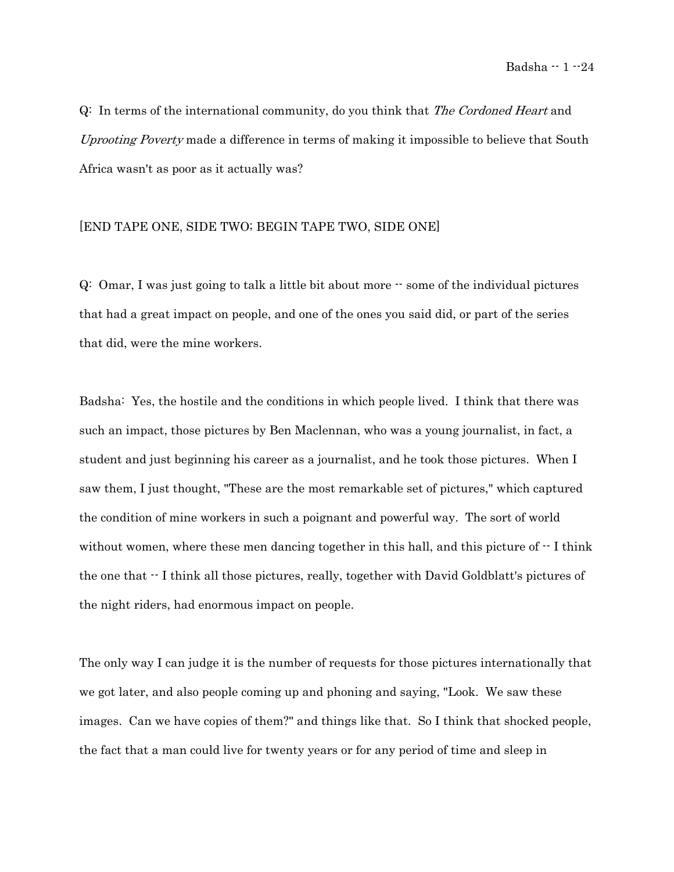Q: In terms of the international community, do you think that The Cordoned Heart and Uprooting Poverty made a difference in terms of making it impossible to believe that South Africa wasn't as poor as it actually was?

### [END TAPE ONE, SIDE TWO; BEGIN TAPE TWO, SIDE ONE]

Q: Omar, I was just going to talk a little bit about more -- some of the individual pictures that had a great impact on people, and one of the ones you said did, or part of the series that did, were the mine workers.

Badsha: Yes, the hostile and the conditions in which people lived. I think that there was such an impact, those pictures by Ben Maclennan, who was a young journalist, in fact, a student and just beginning his career as a journalist, and he took those pictures. When I saw them, I just thought, "These are the most remarkable set of pictures," which captured the condition of mine workers in such a poignant and powerful way. The sort of world without women, where these men dancing together in this hall, and this picture of  $\cdot$ -I think the one that -- I think all those pictures, really, together with David Goldblatt's pictures of the night riders, had enormous impact on people.

The only way I can judge it is the number of requests for those pictures internationally that we got later, and also people coming up and phoning and saying, "Look. We saw these images. Can we have copies of them?" and things like that. So I think that shocked people, the fact that a man could live for twenty years or for any period of time and sleep in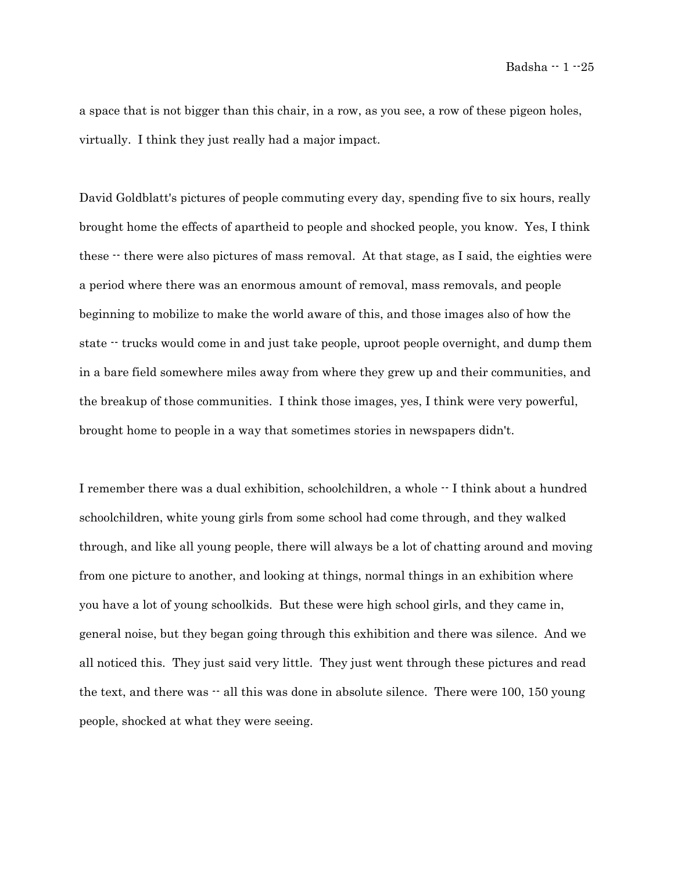a space that is not bigger than this chair, in a row, as you see, a row of these pigeon holes, virtually. I think they just really had a major impact.

David Goldblatt's pictures of people commuting every day, spending five to six hours, really brought home the effects of apartheid to people and shocked people, you know. Yes, I think these  $\cdot$  there were also pictures of mass removal. At that stage, as I said, the eighties were a period where there was an enormous amount of removal, mass removals, and people beginning to mobilize to make the world aware of this, and those images also of how the state -- trucks would come in and just take people, uproot people overnight, and dump them in a bare field somewhere miles away from where they grew up and their communities, and the breakup of those communities. I think those images, yes, I think were very powerful, brought home to people in a way that sometimes stories in newspapers didn't.

I remember there was a dual exhibition, schoolchildren, a whole  $\cdot \cdot$  I think about a hundred schoolchildren, white young girls from some school had come through, and they walked through, and like all young people, there will always be a lot of chatting around and moving from one picture to another, and looking at things, normal things in an exhibition where you have a lot of young schoolkids. But these were high school girls, and they came in, general noise, but they began going through this exhibition and there was silence. And we all noticed this. They just said very little. They just went through these pictures and read the text, and there was  $-$  all this was done in absolute silence. There were 100, 150 young people, shocked at what they were seeing.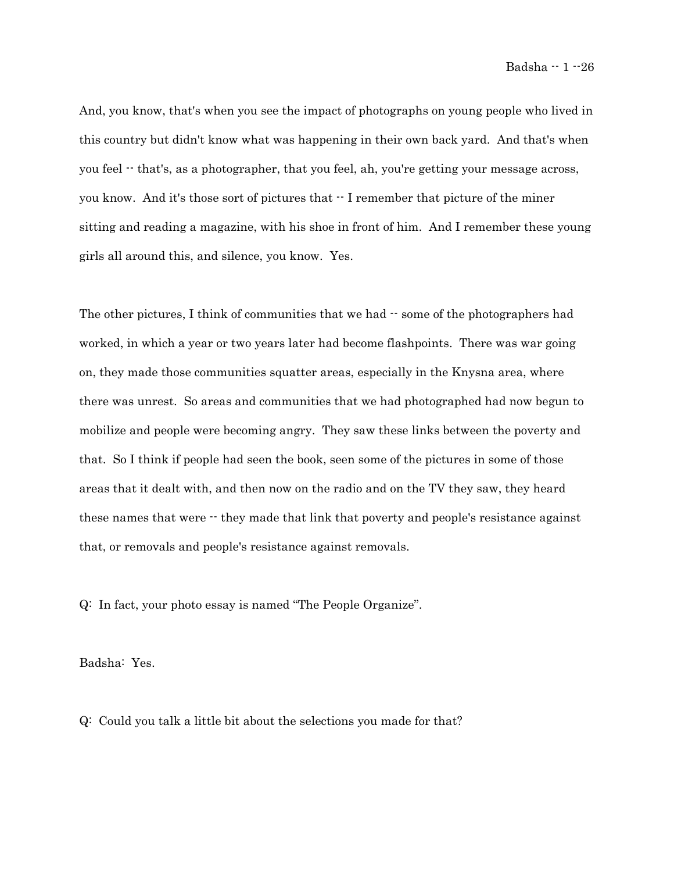And, you know, that's when you see the impact of photographs on young people who lived in this country but didn't know what was happening in their own back yard. And that's when you feel -- that's, as a photographer, that you feel, ah, you're getting your message across, you know. And it's those sort of pictures that  $\cdot$  I remember that picture of the miner sitting and reading a magazine, with his shoe in front of him. And I remember these young girls all around this, and silence, you know. Yes.

The other pictures, I think of communities that we had  $\cdot$  some of the photographers had worked, in which a year or two years later had become flashpoints. There was war going on, they made those communities squatter areas, especially in the Knysna area, where there was unrest. So areas and communities that we had photographed had now begun to mobilize and people were becoming angry. They saw these links between the poverty and that. So I think if people had seen the book, seen some of the pictures in some of those areas that it dealt with, and then now on the radio and on the TV they saw, they heard these names that were  $\cdot$  they made that link that poverty and people's resistance against that, or removals and people's resistance against removals.

Q: In fact, your photo essay is named "The People Organize".

Badsha: Yes.

Q: Could you talk a little bit about the selections you made for that?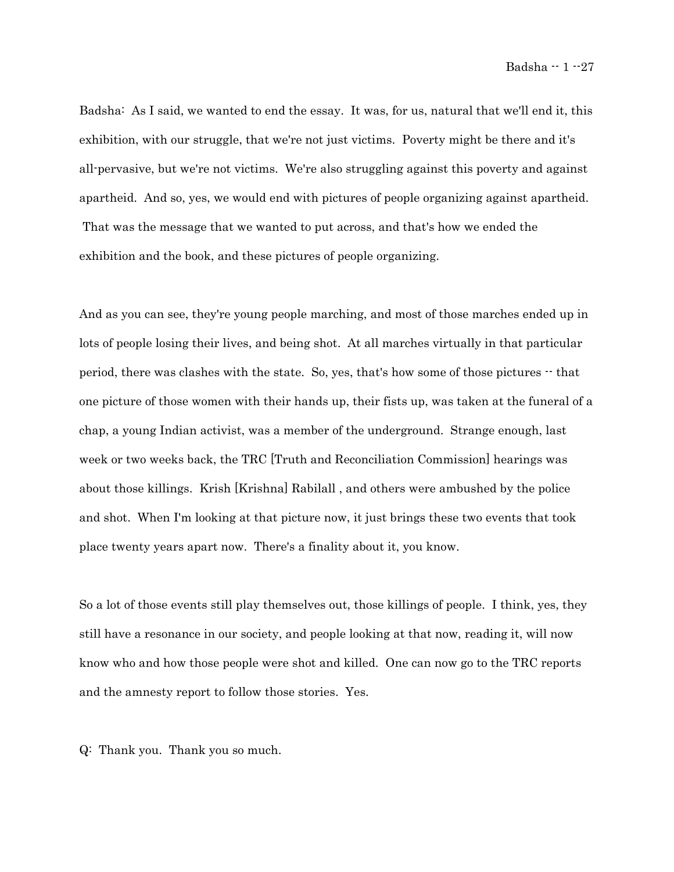Badsha: As I said, we wanted to end the essay. It was, for us, natural that we'll end it, this exhibition, with our struggle, that we're not just victims. Poverty might be there and it's all-pervasive, but we're not victims. We're also struggling against this poverty and against apartheid. And so, yes, we would end with pictures of people organizing against apartheid. That was the message that we wanted to put across, and that's how we ended the exhibition and the book, and these pictures of people organizing.

And as you can see, they're young people marching, and most of those marches ended up in lots of people losing their lives, and being shot. At all marches virtually in that particular period, there was clashes with the state. So, yes, that's how some of those pictures -- that one picture of those women with their hands up, their fists up, was taken at the funeral of a chap, a young Indian activist, was a member of the underground. Strange enough, last week or two weeks back, the TRC [Truth and Reconciliation Commission] hearings was about those killings. Krish [Krishna] Rabilall , and others were ambushed by the police and shot. When I'm looking at that picture now, it just brings these two events that took place twenty years apart now. There's a finality about it, you know.

So a lot of those events still play themselves out, those killings of people. I think, yes, they still have a resonance in our society, and people looking at that now, reading it, will now know who and how those people were shot and killed. One can now go to the TRC reports and the amnesty report to follow those stories. Yes.

Q: Thank you. Thank you so much.